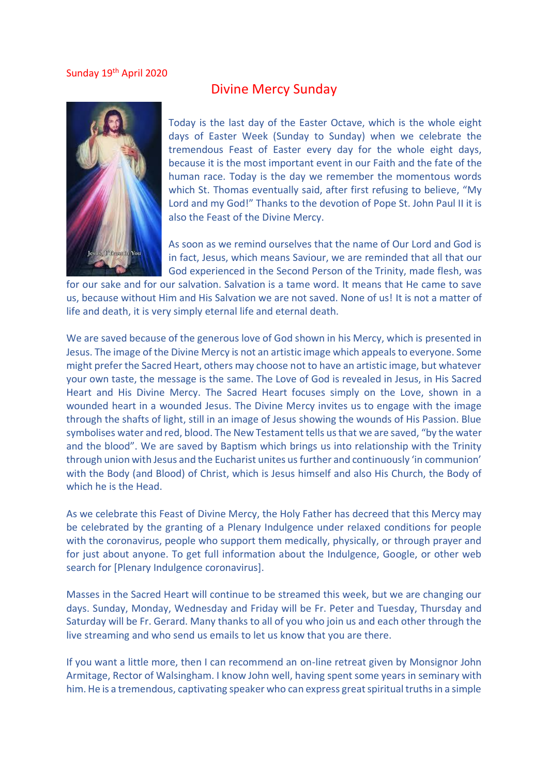## Sunday 19<sup>th</sup> April 2020



## Divine Mercy Sunday

Today is the last day of the Easter Octave, which is the whole eight days of Easter Week (Sunday to Sunday) when we celebrate the tremendous Feast of Easter every day for the whole eight days, because it is the most important event in our Faith and the fate of the human race. Today is the day we remember the momentous words which St. Thomas eventually said, after first refusing to believe, "My Lord and my God!" Thanks to the devotion of Pope St. John Paul II it is also the Feast of the Divine Mercy.

As soon as we remind ourselves that the name of Our Lord and God is in fact, Jesus, which means Saviour, we are reminded that all that our God experienced in the Second Person of the Trinity, made flesh, was

for our sake and for our salvation. Salvation is a tame word. It means that He came to save us, because without Him and His Salvation we are not saved. None of us! It is not a matter of life and death, it is very simply eternal life and eternal death.

We are saved because of the generous love of God shown in his Mercy, which is presented in Jesus. The image of the Divine Mercy is not an artistic image which appeals to everyone. Some might prefer the Sacred Heart, others may choose not to have an artistic image, but whatever your own taste, the message is the same. The Love of God is revealed in Jesus, in His Sacred Heart and His Divine Mercy. The Sacred Heart focuses simply on the Love, shown in a wounded heart in a wounded Jesus. The Divine Mercy invites us to engage with the image through the shafts of light, still in an image of Jesus showing the wounds of His Passion. Blue symbolises water and red, blood. The New Testament tells us that we are saved, "by the water and the blood". We are saved by Baptism which brings us into relationship with the Trinity through union with Jesus and the Eucharist unites us further and continuously 'in communion' with the Body (and Blood) of Christ, which is Jesus himself and also His Church, the Body of which he is the Head.

As we celebrate this Feast of Divine Mercy, the Holy Father has decreed that this Mercy may be celebrated by the granting of a Plenary Indulgence under relaxed conditions for people with the coronavirus, people who support them medically, physically, or through prayer and for just about anyone. To get full information about the Indulgence, Google, or other web search for [Plenary Indulgence coronavirus].

Masses in the Sacred Heart will continue to be streamed this week, but we are changing our days. Sunday, Monday, Wednesday and Friday will be Fr. Peter and Tuesday, Thursday and Saturday will be Fr. Gerard. Many thanks to all of you who join us and each other through the live streaming and who send us emails to let us know that you are there.

If you want a little more, then I can recommend an on-line retreat given by Monsignor John Armitage, Rector of Walsingham. I know John well, having spent some years in seminary with him. He is a tremendous, captivating speaker who can express great spiritual truths in a simple